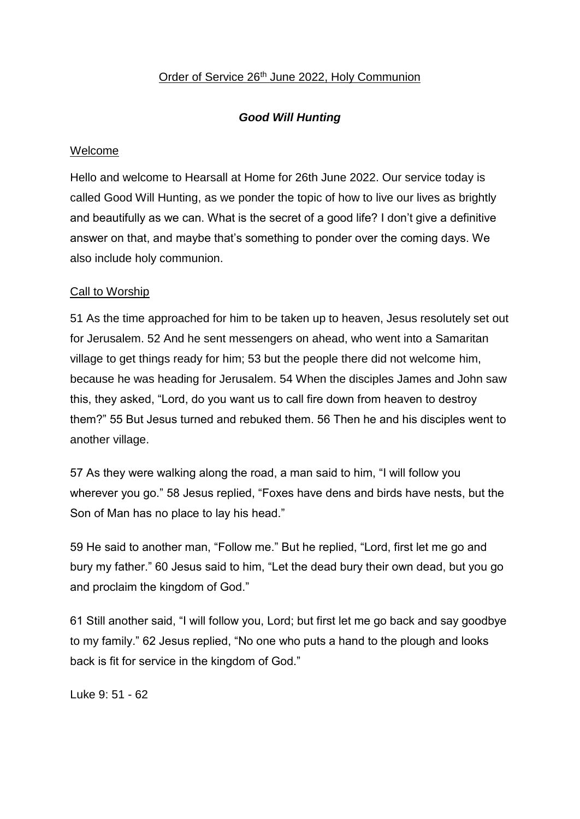### Order of Service 26<sup>th</sup> June 2022, Holy Communion

# *Good Will Hunting*

### Welcome

Hello and welcome to Hearsall at Home for 26th June 2022. Our service today is called Good Will Hunting, as we ponder the topic of how to live our lives as brightly and beautifully as we can. What is the secret of a good life? I don't give a definitive answer on that, and maybe that's something to ponder over the coming days. We also include holy communion.

### Call to Worship

51 As the time approached for him to be taken up to heaven, Jesus resolutely set out for Jerusalem. 52 And he sent messengers on ahead, who went into a Samaritan village to get things ready for him; 53 but the people there did not welcome him, because he was heading for Jerusalem. 54 When the disciples James and John saw this, they asked, "Lord, do you want us to call fire down from heaven to destroy them?" 55 But Jesus turned and rebuked them. 56 Then he and his disciples went to another village.

57 As they were walking along the road, a man said to him, "I will follow you wherever you go." 58 Jesus replied, "Foxes have dens and birds have nests, but the Son of Man has no place to lay his head."

59 He said to another man, "Follow me." But he replied, "Lord, first let me go and bury my father." 60 Jesus said to him, "Let the dead bury their own dead, but you go and proclaim the kingdom of God."

61 Still another said, "I will follow you, Lord; but first let me go back and say goodbye to my family." 62 Jesus replied, "No one who puts a hand to the plough and looks back is fit for service in the kingdom of God."

Luke 9: 51 - 62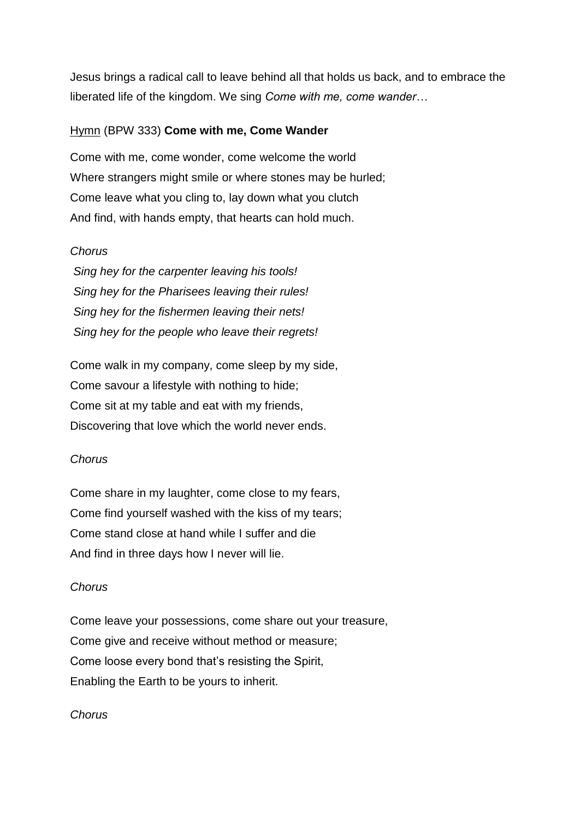Jesus brings a radical call to leave behind all that holds us back, and to embrace the liberated life of the kingdom. We sing *Come with me, come wander…*

#### Hymn (BPW 333) **Come with me, Come Wander**

Come with me, come wonder, come welcome the world Where strangers might smile or where stones may be hurled; Come leave what you cling to, lay down what you clutch And find, with hands empty, that hearts can hold much.

#### *Chorus*

*Sing hey for the carpenter leaving his tools! Sing hey for the Pharisees leaving their rules! Sing hey for the fishermen leaving their nets! Sing hey for the people who leave their regrets!*

Come walk in my company, come sleep by my side, Come savour a lifestyle with nothing to hide; Come sit at my table and eat with my friends, Discovering that love which the world never ends.

### *Chorus*

Come share in my laughter, come close to my fears, Come find yourself washed with the kiss of my tears; Come stand close at hand while I suffer and die And find in three days how I never will lie.

### *Chorus*

Come leave your possessions, come share out your treasure, Come give and receive without method or measure; Come loose every bond that's resisting the Spirit, Enabling the Earth to be yours to inherit.

### *Chorus*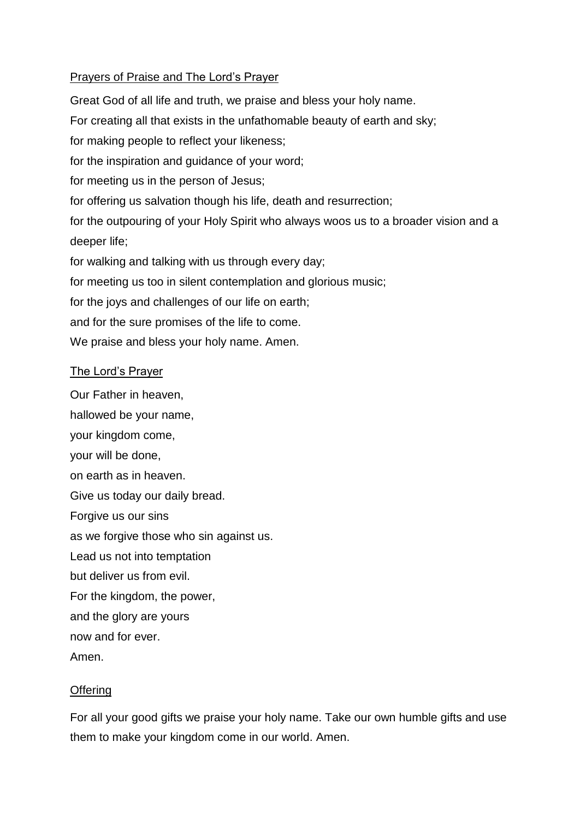### Prayers of Praise and The Lord's Prayer

Great God of all life and truth, we praise and bless your holy name. For creating all that exists in the unfathomable beauty of earth and sky; for making people to reflect your likeness; for the inspiration and guidance of your word; for meeting us in the person of Jesus; for offering us salvation though his life, death and resurrection; for the outpouring of your Holy Spirit who always woos us to a broader vision and a deeper life; for walking and talking with us through every day; for meeting us too in silent contemplation and glorious music; for the joys and challenges of our life on earth; and for the sure promises of the life to come. We praise and bless your holy name. Amen.

#### The Lord's Prayer

Our Father in heaven,

hallowed be your name, your kingdom come, your will be done, on earth as in heaven. Give us today our daily bread. Forgive us our sins as we forgive those who sin against us. Lead us not into temptation but deliver us from evil. For the kingdom, the power, and the glory are yours now and for ever. Amen.

#### **Offering**

For all your good gifts we praise your holy name. Take our own humble gifts and use them to make your kingdom come in our world. Amen.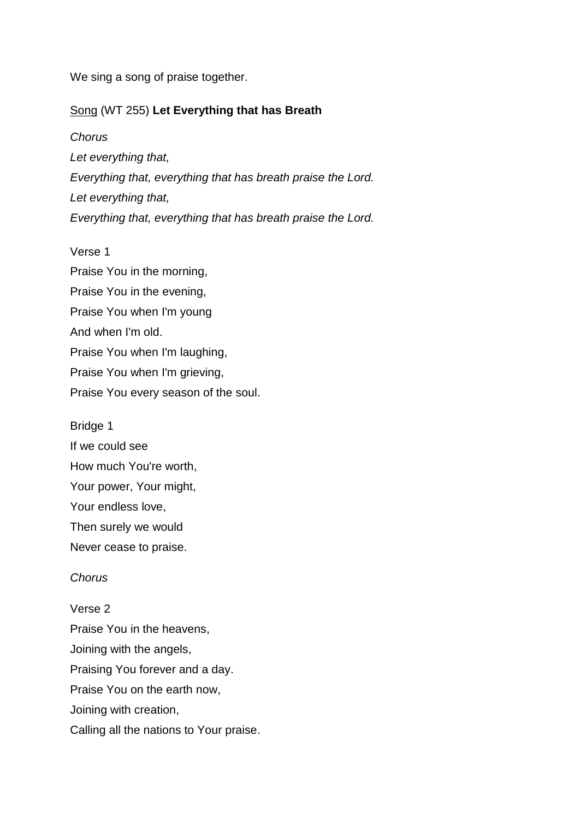We sing a song of praise together.

### Song (WT 255) **Let Everything that has Breath**

*Chorus Let everything that, Everything that, everything that has breath praise the Lord. Let everything that, Everything that, everything that has breath praise the Lord.*

Verse 1 Praise You in the morning, Praise You in the evening, Praise You when I'm young And when I'm old. Praise You when I'm laughing, Praise You when I'm grieving, Praise You every season of the soul.

Bridge 1 If we could see How much You're worth, Your power, Your might, Your endless love, Then surely we would Never cease to praise.

#### *Chorus*

Verse 2 Praise You in the heavens, Joining with the angels, Praising You forever and a day. Praise You on the earth now, Joining with creation, Calling all the nations to Your praise.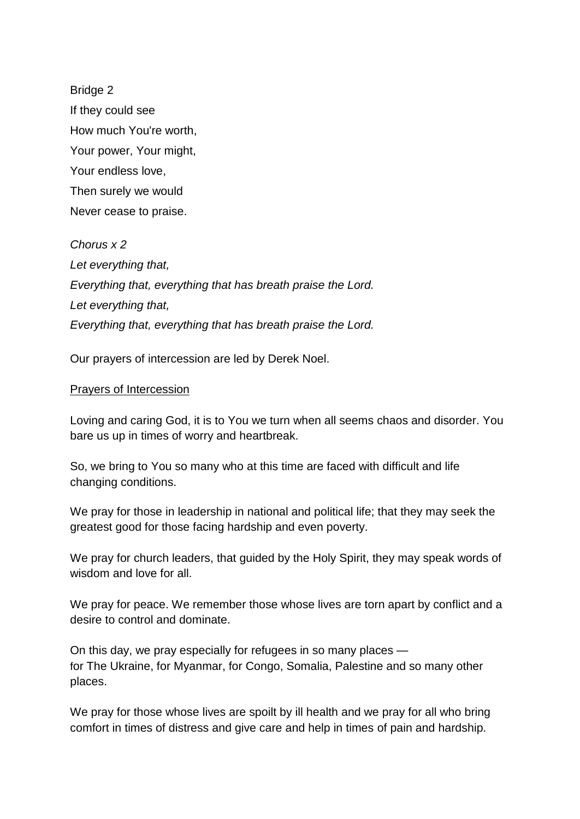Bridge 2 If they could see How much You're worth, Your power, Your might, Your endless love, Then surely we would Never cease to praise.

*Chorus x 2 Let everything that, Everything that, everything that has breath praise the Lord. Let everything that, Everything that, everything that has breath praise the Lord.*

Our prayers of intercession are led by Derek Noel.

#### Prayers of Intercession

Loving and caring God, it is to You we turn when all seems chaos and disorder. You bare us up in times of worry and heartbreak.

So, we bring to You so many who at this time are faced with difficult and life changing conditions.

We pray for those in leadership in national and political life; that they may seek the greatest good for those facing hardship and even poverty.

We pray for church leaders, that guided by the Holy Spirit, they may speak words of wisdom and love for all.

We pray for peace. We remember those whose lives are torn apart by conflict and a desire to control and dominate.

On this day, we pray especially for refugees in so many places for The Ukraine, for Myanmar, for Congo, Somalia, Palestine and so many other places.

We pray for those whose lives are spoilt by ill health and we pray for all who bring comfort in times of distress and give care and help in times of pain and hardship.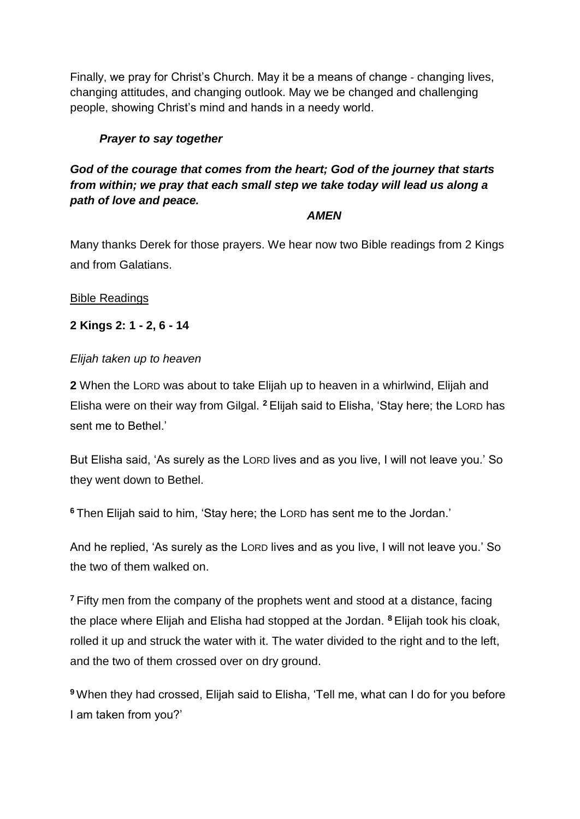Finally, we pray for Christ's Church. May it be a means of change - changing lives, changing attitudes, and changing outlook. May we be changed and challenging people, showing Christ's mind and hands in a needy world.

# *Prayer to say together*

# *God of the courage that comes from the heart; God of the journey that starts from within; we pray that each small step we take today will lead us along a path of love and peace.*

### *AMEN*

Many thanks Derek for those prayers. We hear now two Bible readings from 2 Kings and from Galatians.

Bible Readings

**2 Kings 2: 1 - 2, 6 - 14**

### *Elijah taken up to heaven*

**2** When the LORD was about to take Elijah up to heaven in a whirlwind, Elijah and Elisha were on their way from Gilgal. **<sup>2</sup>** Elijah said to Elisha, 'Stay here; the LORD has sent me to Bethel.'

But Elisha said, 'As surely as the LORD lives and as you live, I will not leave you.' So they went down to Bethel.

**<sup>6</sup>** Then Elijah said to him, 'Stay here; the LORD has sent me to the Jordan.'

And he replied, 'As surely as the LORD lives and as you live, I will not leave you.' So the two of them walked on.

**<sup>7</sup>** Fifty men from the company of the prophets went and stood at a distance, facing the place where Elijah and Elisha had stopped at the Jordan. **<sup>8</sup>** Elijah took his cloak, rolled it up and struck the water with it. The water divided to the right and to the left, and the two of them crossed over on dry ground.

**<sup>9</sup>** When they had crossed, Elijah said to Elisha, 'Tell me, what can I do for you before I am taken from you?'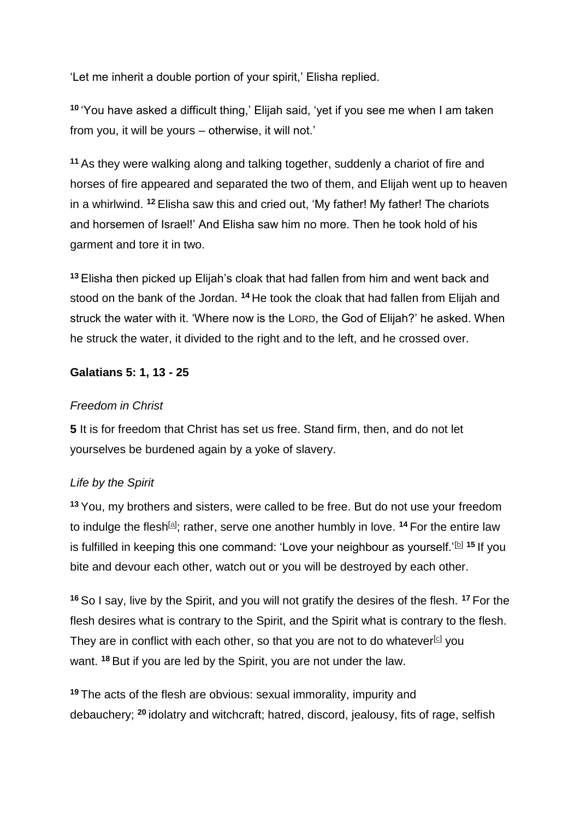'Let me inherit a double portion of your spirit,' Elisha replied.

**<sup>10</sup>** 'You have asked a difficult thing,' Elijah said, 'yet if you see me when I am taken from you, it will be yours – otherwise, it will not.'

**<sup>11</sup>** As they were walking along and talking together, suddenly a chariot of fire and horses of fire appeared and separated the two of them, and Elijah went up to heaven in a whirlwind. **<sup>12</sup>** Elisha saw this and cried out, 'My father! My father! The chariots and horsemen of Israel!' And Elisha saw him no more. Then he took hold of his garment and tore it in two.

**<sup>13</sup>** Elisha then picked up Elijah's cloak that had fallen from him and went back and stood on the bank of the Jordan. **<sup>14</sup>** He took the cloak that had fallen from Elijah and struck the water with it. 'Where now is the LORD, the God of Elijah?' he asked. When he struck the water, it divided to the right and to the left, and he crossed over.

### **Galatians 5: 1, 13 - 25**

#### *Freedom in Christ*

**5** It is for freedom that Christ has set us free. Stand firm, then, and do not let yourselves be burdened again by a yoke of slavery.

### *Life by the Spirit*

**<sup>13</sup>** You, my brothers and sisters, were called to be free. But do not use your freedom to indulge the flesh<sup>[\[a\]](https://www.biblegateway.com/passage/?search=Galatians+5%3A+13+-+25&version=NIVUK#fen-NIVUK-29176a)</sup>; rather, serve one another humbly in love. <sup>14</sup> For the entire law is fulfilled in keeping this one command: 'Love your neighbour as yourself.'<sup>[\[b\]](https://www.biblegateway.com/passage/?search=Galatians+5%3A+13+-+25&version=NIVUK#fen-NIVUK-29177b)</sup> <sup>15</sup> If you bite and devour each other, watch out or you will be destroyed by each other.

**<sup>16</sup>** So I say, live by the Spirit, and you will not gratify the desires of the flesh. **<sup>17</sup>** For the flesh desires what is contrary to the Spirit, and the Spirit what is contrary to the flesh. They are in conflict with each other, so that you are not to do whatever<sup>[\[c\]](https://www.biblegateway.com/passage/?search=Galatians+5%3A+13+-+25&version=NIVUK#fen-NIVUK-29180c)</sup> you want. **<sup>18</sup>** But if you are led by the Spirit, you are not under the law.

**<sup>19</sup>** The acts of the flesh are obvious: sexual immorality, impurity and debauchery; **<sup>20</sup>** idolatry and witchcraft; hatred, discord, jealousy, fits of rage, selfish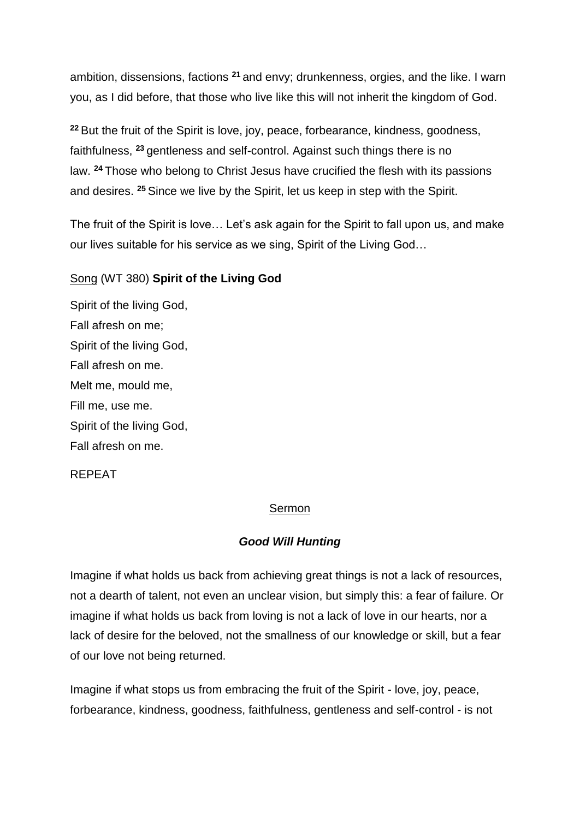ambition, dissensions, factions **<sup>21</sup>** and envy; drunkenness, orgies, and the like. I warn you, as I did before, that those who live like this will not inherit the kingdom of God.

**<sup>22</sup>** But the fruit of the Spirit is love, joy, peace, forbearance, kindness, goodness, faithfulness, **<sup>23</sup>** gentleness and self-control. Against such things there is no law. **<sup>24</sup>** Those who belong to Christ Jesus have crucified the flesh with its passions and desires. **<sup>25</sup>** Since we live by the Spirit, let us keep in step with the Spirit.

The fruit of the Spirit is love… Let's ask again for the Spirit to fall upon us, and make our lives suitable for his service as we sing, Spirit of the Living God…

### Song (WT 380) **Spirit of the Living God**

Spirit of the living God, Fall afresh on me; Spirit of the living God, Fall afresh on me. Melt me, mould me, Fill me, use me. Spirit of the living God, Fall afresh on me.

#### REPEAT

#### Sermon

#### *Good Will Hunting*

Imagine if what holds us back from achieving great things is not a lack of resources, not a dearth of talent, not even an unclear vision, but simply this: a fear of failure. Or imagine if what holds us back from loving is not a lack of love in our hearts, nor a lack of desire for the beloved, not the smallness of our knowledge or skill, but a fear of our love not being returned.

Imagine if what stops us from embracing the fruit of the Spirit - love, joy, peace, forbearance, kindness, goodness, faithfulness, gentleness and self-control - is not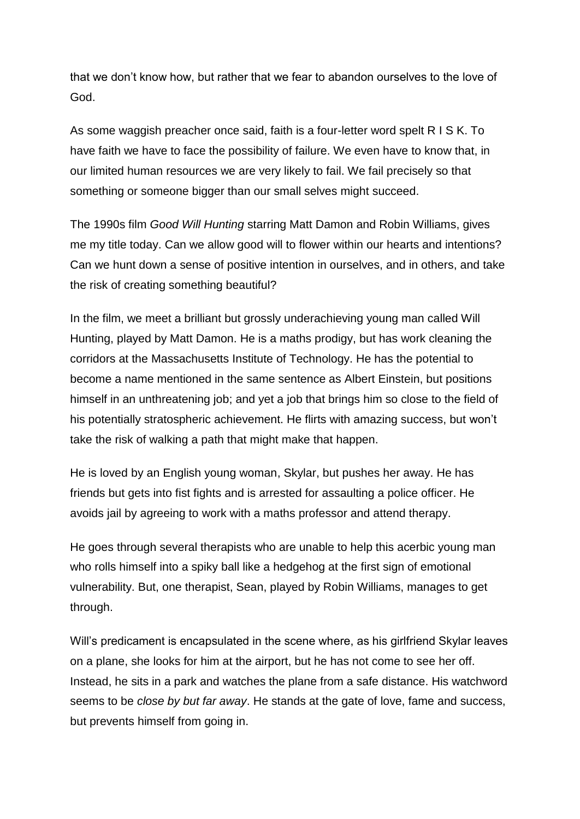that we don't know how, but rather that we fear to abandon ourselves to the love of God.

As some waggish preacher once said, faith is a four-letter word spelt R I S K. To have faith we have to face the possibility of failure. We even have to know that, in our limited human resources we are very likely to fail. We fail precisely so that something or someone bigger than our small selves might succeed.

The 1990s film *Good Will Hunting* starring Matt Damon and Robin Williams, gives me my title today. Can we allow good will to flower within our hearts and intentions? Can we hunt down a sense of positive intention in ourselves, and in others, and take the risk of creating something beautiful?

In the film, we meet a brilliant but grossly underachieving young man called Will Hunting, played by Matt Damon. He is a maths prodigy, but has work cleaning the corridors at the Massachusetts Institute of Technology. He has the potential to become a name mentioned in the same sentence as Albert Einstein, but positions himself in an unthreatening job; and yet a job that brings him so close to the field of his potentially stratospheric achievement. He flirts with amazing success, but won't take the risk of walking a path that might make that happen.

He is loved by an English young woman, Skylar, but pushes her away. He has friends but gets into fist fights and is arrested for assaulting a police officer. He avoids jail by agreeing to work with a maths professor and attend therapy.

He goes through several therapists who are unable to help this acerbic young man who rolls himself into a spiky ball like a hedgehog at the first sign of emotional vulnerability. But, one therapist, Sean, played by Robin Williams, manages to get through.

Will's predicament is encapsulated in the scene where, as his girlfriend Skylar leaves on a plane, she looks for him at the airport, but he has not come to see her off. Instead, he sits in a park and watches the plane from a safe distance. His watchword seems to be *close by but far away*. He stands at the gate of love, fame and success, but prevents himself from going in.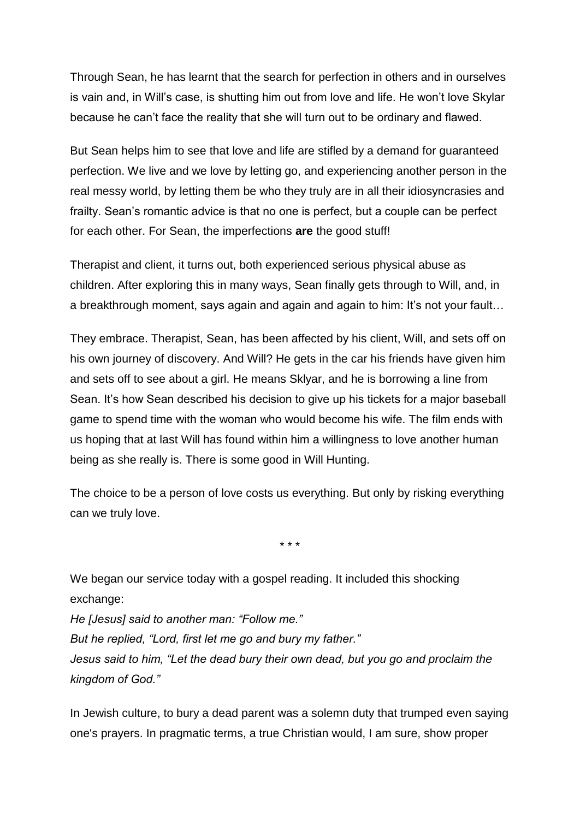Through Sean, he has learnt that the search for perfection in others and in ourselves is vain and, in Will's case, is shutting him out from love and life. He won't love Skylar because he can't face the reality that she will turn out to be ordinary and flawed.

But Sean helps him to see that love and life are stifled by a demand for guaranteed perfection. We live and we love by letting go, and experiencing another person in the real messy world, by letting them be who they truly are in all their idiosyncrasies and frailty. Sean's romantic advice is that no one is perfect, but a couple can be perfect for each other. For Sean, the imperfections **are** the good stuff!

Therapist and client, it turns out, both experienced serious physical abuse as children. After exploring this in many ways, Sean finally gets through to Will, and, in a breakthrough moment, says again and again and again to him: It's not your fault…

They embrace. Therapist, Sean, has been affected by his client, Will, and sets off on his own journey of discovery. And Will? He gets in the car his friends have given him and sets off to see about a girl. He means Sklyar, and he is borrowing a line from Sean. It's how Sean described his decision to give up his tickets for a major baseball game to spend time with the woman who would become his wife. The film ends with us hoping that at last Will has found within him a willingness to love another human being as she really is. There is some good in Will Hunting.

The choice to be a person of love costs us everything. But only by risking everything can we truly love.

\* \* \*

We began our service today with a gospel reading. It included this shocking exchange:

*He [Jesus] said to another man: "Follow me." But he replied, "Lord, first let me go and bury my father." Jesus said to him, "Let the dead bury their own dead, but you go and proclaim the kingdom of God."*

In Jewish culture, to bury a dead parent was a solemn duty that trumped even saying one's prayers. In pragmatic terms, a true Christian would, I am sure, show proper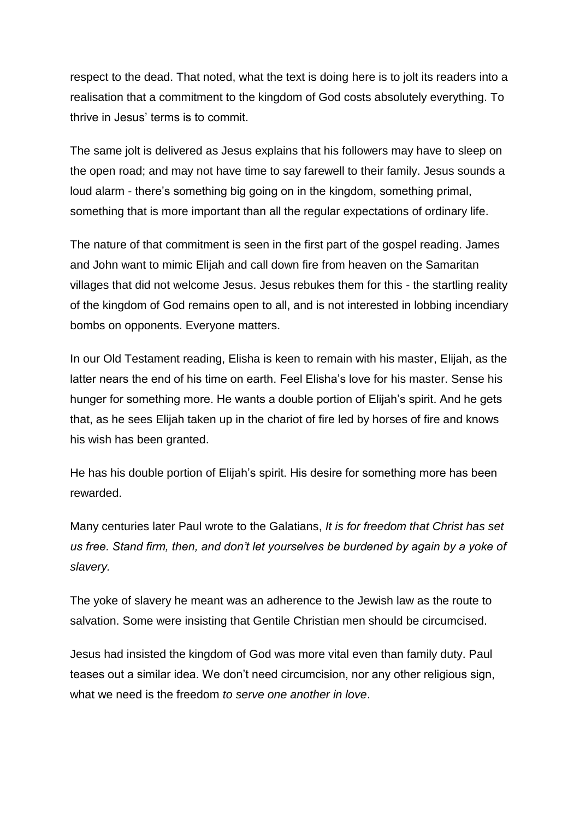respect to the dead. That noted, what the text is doing here is to jolt its readers into a realisation that a commitment to the kingdom of God costs absolutely everything. To thrive in Jesus' terms is to commit.

The same jolt is delivered as Jesus explains that his followers may have to sleep on the open road; and may not have time to say farewell to their family. Jesus sounds a loud alarm - there's something big going on in the kingdom, something primal, something that is more important than all the regular expectations of ordinary life.

The nature of that commitment is seen in the first part of the gospel reading. James and John want to mimic Elijah and call down fire from heaven on the Samaritan villages that did not welcome Jesus. Jesus rebukes them for this - the startling reality of the kingdom of God remains open to all, and is not interested in lobbing incendiary bombs on opponents. Everyone matters.

In our Old Testament reading, Elisha is keen to remain with his master, Elijah, as the latter nears the end of his time on earth. Feel Elisha's love for his master. Sense his hunger for something more. He wants a double portion of Elijah's spirit. And he gets that, as he sees Elijah taken up in the chariot of fire led by horses of fire and knows his wish has been granted.

He has his double portion of Elijah's spirit. His desire for something more has been rewarded.

Many centuries later Paul wrote to the Galatians, *It is for freedom that Christ has set us free. Stand firm, then, and don't let yourselves be burdened by again by a yoke of slavery.*

The yoke of slavery he meant was an adherence to the Jewish law as the route to salvation. Some were insisting that Gentile Christian men should be circumcised.

Jesus had insisted the kingdom of God was more vital even than family duty. Paul teases out a similar idea. We don't need circumcision, nor any other religious sign, what we need is the freedom *to serve one another in love*.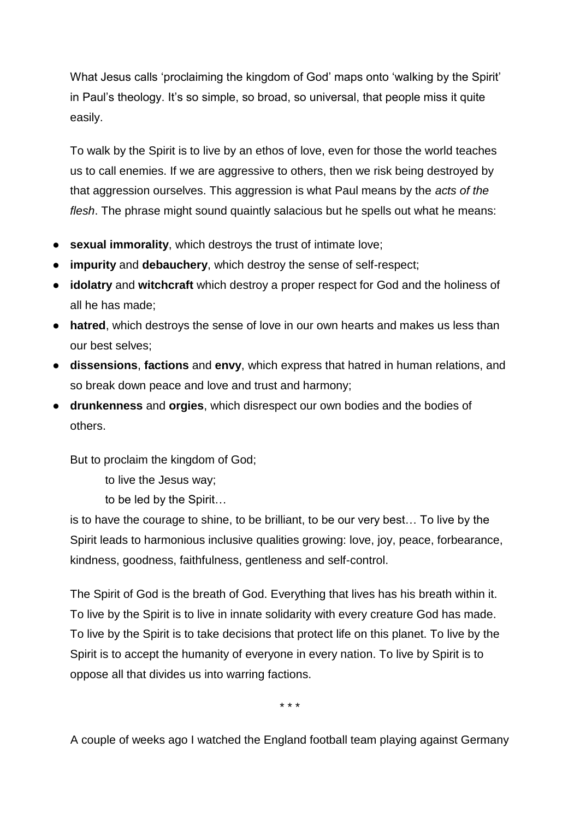What Jesus calls 'proclaiming the kingdom of God' maps onto 'walking by the Spirit' in Paul's theology. It's so simple, so broad, so universal, that people miss it quite easily.

To walk by the Spirit is to live by an ethos of love, even for those the world teaches us to call enemies. If we are aggressive to others, then we risk being destroyed by that aggression ourselves. This aggression is what Paul means by the *acts of the flesh*. The phrase might sound quaintly salacious but he spells out what he means:

- **sexual immorality**, which destroys the trust of intimate love;
- **impurity** and **debauchery**, which destroy the sense of self-respect;
- **idolatry** and **witchcraft** which destroy a proper respect for God and the holiness of all he has made;
- hatred, which destroys the sense of love in our own hearts and makes us less than our best selves;
- **dissensions**, **factions** and **envy**, which express that hatred in human relations, and so break down peace and love and trust and harmony;
- **drunkenness** and **orgies**, which disrespect our own bodies and the bodies of others.

But to proclaim the kingdom of God;

to live the Jesus way;

to be led by the Spirit…

is to have the courage to shine, to be brilliant, to be our very best… To live by the Spirit leads to harmonious inclusive qualities growing: love, joy, peace, forbearance, kindness, goodness, faithfulness, gentleness and self-control.

The Spirit of God is the breath of God. Everything that lives has his breath within it. To live by the Spirit is to live in innate solidarity with every creature God has made. To live by the Spirit is to take decisions that protect life on this planet. To live by the Spirit is to accept the humanity of everyone in every nation. To live by Spirit is to oppose all that divides us into warring factions.

\* \* \*

A couple of weeks ago I watched the England football team playing against Germany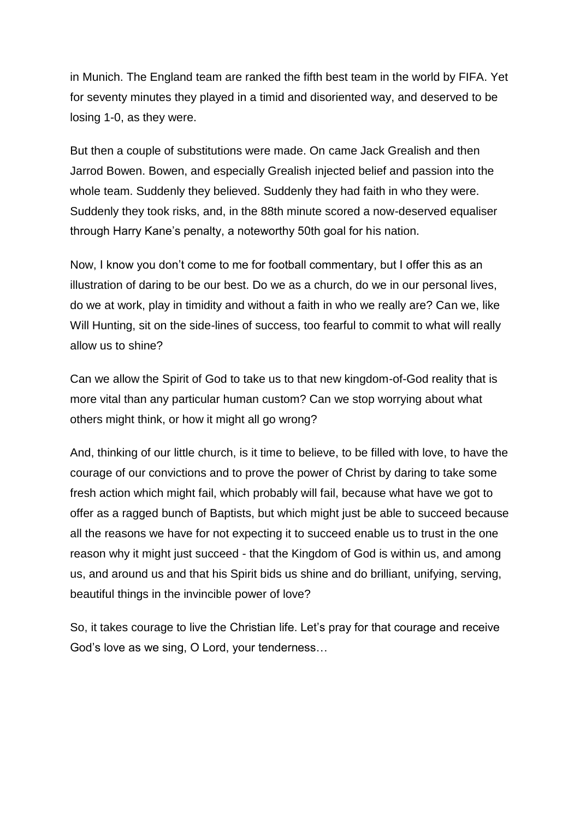in Munich. The England team are ranked the fifth best team in the world by FIFA. Yet for seventy minutes they played in a timid and disoriented way, and deserved to be losing 1-0, as they were.

But then a couple of substitutions were made. On came Jack Grealish and then Jarrod Bowen. Bowen, and especially Grealish injected belief and passion into the whole team. Suddenly they believed. Suddenly they had faith in who they were. Suddenly they took risks, and, in the 88th minute scored a now-deserved equaliser through Harry Kane's penalty, a noteworthy 50th goal for his nation.

Now, I know you don't come to me for football commentary, but I offer this as an illustration of daring to be our best. Do we as a church, do we in our personal lives, do we at work, play in timidity and without a faith in who we really are? Can we, like Will Hunting, sit on the side-lines of success, too fearful to commit to what will really allow us to shine?

Can we allow the Spirit of God to take us to that new kingdom-of-God reality that is more vital than any particular human custom? Can we stop worrying about what others might think, or how it might all go wrong?

And, thinking of our little church, is it time to believe, to be filled with love, to have the courage of our convictions and to prove the power of Christ by daring to take some fresh action which might fail, which probably will fail, because what have we got to offer as a ragged bunch of Baptists, but which might just be able to succeed because all the reasons we have for not expecting it to succeed enable us to trust in the one reason why it might just succeed - that the Kingdom of God is within us, and among us, and around us and that his Spirit bids us shine and do brilliant, unifying, serving, beautiful things in the invincible power of love?

So, it takes courage to live the Christian life. Let's pray for that courage and receive God's love as we sing, O Lord, your tenderness…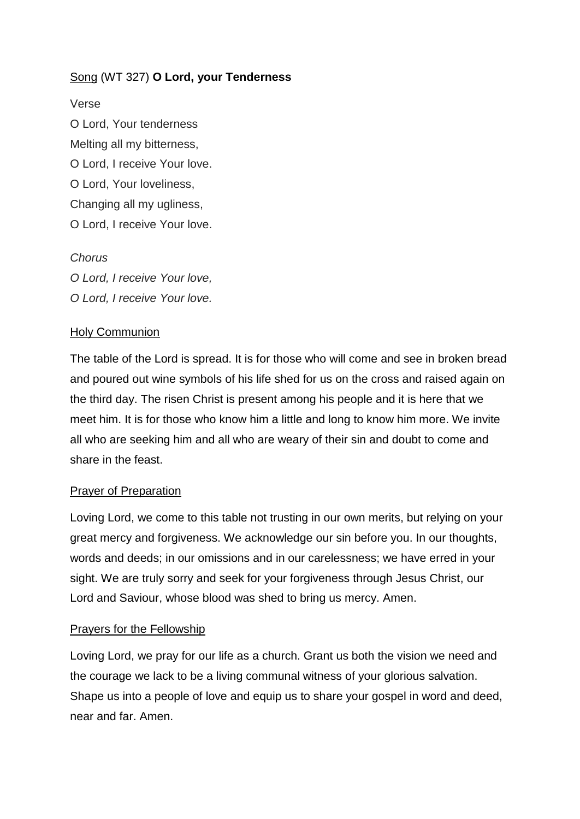# Song (WT 327) **O Lord, your Tenderness**

Verse O Lord, Your tenderness Melting all my bitterness, O Lord, I receive Your love. O Lord, Your loveliness, Changing all my ugliness, O Lord, I receive Your love.

#### *Chorus*

*O Lord, I receive Your love, O Lord, I receive Your love.*

#### Holy Communion

The table of the Lord is spread. It is for those who will come and see in broken bread and poured out wine symbols of his life shed for us on the cross and raised again on the third day. The risen Christ is present among his people and it is here that we meet him. It is for those who know him a little and long to know him more. We invite all who are seeking him and all who are weary of their sin and doubt to come and share in the feast.

#### Prayer of Preparation

Loving Lord, we come to this table not trusting in our own merits, but relying on your great mercy and forgiveness. We acknowledge our sin before you. In our thoughts, words and deeds; in our omissions and in our carelessness; we have erred in your sight. We are truly sorry and seek for your forgiveness through Jesus Christ, our Lord and Saviour, whose blood was shed to bring us mercy. Amen.

#### Prayers for the Fellowship

Loving Lord, we pray for our life as a church. Grant us both the vision we need and the courage we lack to be a living communal witness of your glorious salvation. Shape us into a people of love and equip us to share your gospel in word and deed, near and far. Amen.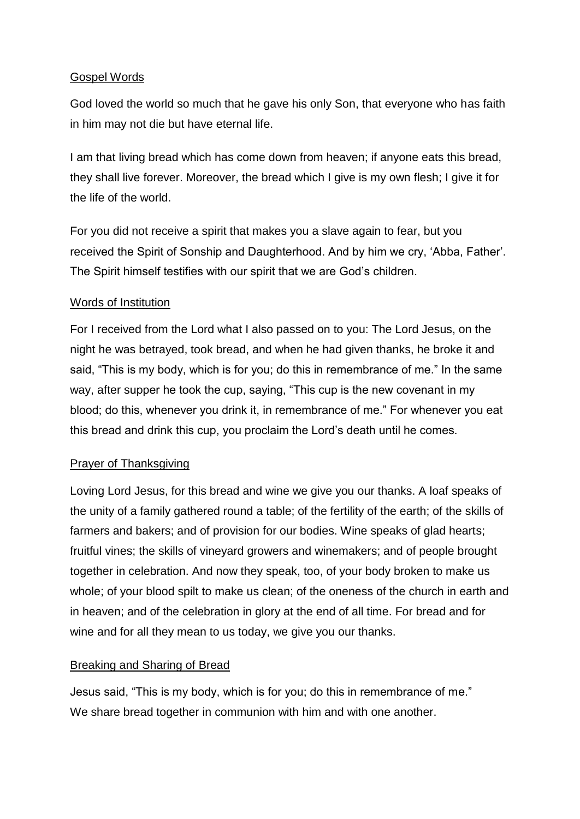## Gospel Words

God loved the world so much that he gave his only Son, that everyone who has faith in him may not die but have eternal life.

I am that living bread which has come down from heaven; if anyone eats this bread, they shall live forever. Moreover, the bread which I give is my own flesh; I give it for the life of the world.

For you did not receive a spirit that makes you a slave again to fear, but you received the Spirit of Sonship and Daughterhood. And by him we cry, 'Abba, Father'. The Spirit himself testifies with our spirit that we are God's children.

# Words of Institution

For I received from the Lord what I also passed on to you: The Lord Jesus, on the night he was betrayed, took bread, and when he had given thanks, he broke it and said, "This is my body, which is for you; do this in remembrance of me." In the same way, after supper he took the cup, saying, "This cup is the new covenant in my blood; do this, whenever you drink it, in remembrance of me." For whenever you eat this bread and drink this cup, you proclaim the Lord's death until he comes.

# Prayer of Thanksgiving

Loving Lord Jesus, for this bread and wine we give you our thanks. A loaf speaks of the unity of a family gathered round a table; of the fertility of the earth; of the skills of farmers and bakers; and of provision for our bodies. Wine speaks of glad hearts; fruitful vines; the skills of vineyard growers and winemakers; and of people brought together in celebration. And now they speak, too, of your body broken to make us whole; of your blood spilt to make us clean; of the oneness of the church in earth and in heaven; and of the celebration in glory at the end of all time. For bread and for wine and for all they mean to us today, we give you our thanks.

# Breaking and Sharing of Bread

Jesus said, "This is my body, which is for you; do this in remembrance of me." We share bread together in communion with him and with one another.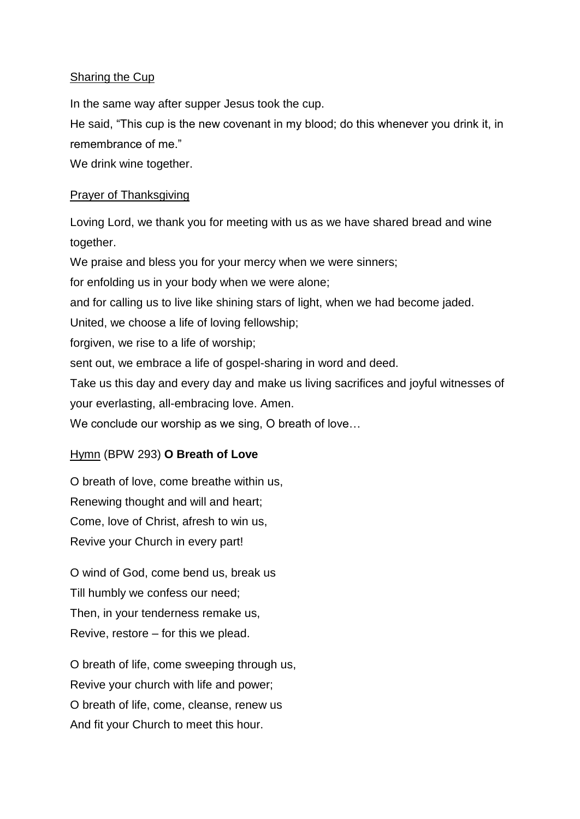# Sharing the Cup

In the same way after supper Jesus took the cup.

He said, "This cup is the new covenant in my blood; do this whenever you drink it, in remembrance of me."

We drink wine together.

# Prayer of Thanksgiving

Loving Lord, we thank you for meeting with us as we have shared bread and wine together.

We praise and bless you for your mercy when we were sinners; for enfolding us in your body when we were alone;

and for calling us to live like shining stars of light, when we had become jaded.

United, we choose a life of loving fellowship;

forgiven, we rise to a life of worship;

sent out, we embrace a life of gospel-sharing in word and deed.

Take us this day and every day and make us living sacrifices and joyful witnesses of your everlasting, all-embracing love. Amen.

We conclude our worship as we sing, O breath of love…

# Hymn (BPW 293) **O Breath of Love**

O breath of love, come breathe within us, Renewing thought and will and heart; Come, love of Christ, afresh to win us, Revive your Church in every part!

O wind of God, come bend us, break us Till humbly we confess our need; Then, in your tenderness remake us, Revive, restore – for this we plead.

O breath of life, come sweeping through us, Revive your church with life and power; O breath of life, come, cleanse, renew us And fit your Church to meet this hour.